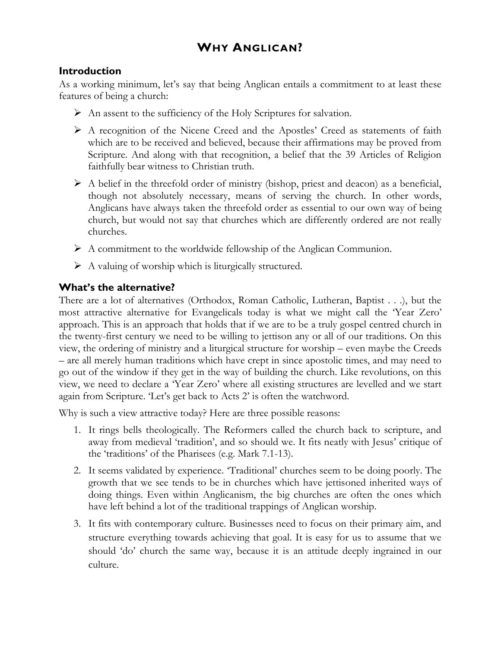# **WHY ANGLICAN?**

### **Introduction**

As a working minimum, let's say that being Anglican entails a commitment to at least these features of being a church:

- $\triangleright$  An assent to the sufficiency of the Holy Scriptures for salvation.
- A recognition of the Nicene Creed and the Apostles' Creed as statements of faith which are to be received and believed, because their affirmations may be proved from Scripture. And along with that recognition, a belief that the 39 Articles of Religion faithfully bear witness to Christian truth.
- $\triangleright$  A belief in the threefold order of ministry (bishop, priest and deacon) as a beneficial, though not absolutely necessary, means of serving the church. In other words, Anglicans have always taken the threefold order as essential to our own way of being church, but would not say that churches which are differently ordered are not really churches.
- $\triangleright$  A commitment to the worldwide fellowship of the Anglican Communion.
- $\triangleright$  A valuing of worship which is liturgically structured.

### **What's the alternative?**

There are a lot of alternatives (Orthodox, Roman Catholic, Lutheran, Baptist . . .), but the most attractive alternative for Evangelicals today is what we might call the 'Year Zero' approach. This is an approach that holds that if we are to be a truly gospel centred church in the twenty-first century we need to be willing to jettison any or all of our traditions. On this view, the ordering of ministry and a liturgical structure for worship – even maybe the Creeds – are all merely human traditions which have crept in since apostolic times, and may need to go out of the window if they get in the way of building the church. Like revolutions, on this view, we need to declare a 'Year Zero' where all existing structures are levelled and we start again from Scripture. 'Let's get back to Acts 2' is often the watchword.

Why is such a view attractive today? Here are three possible reasons:

- 1. It rings bells theologically. The Reformers called the church back to scripture, and away from medieval 'tradition', and so should we. It fits neatly with Jesus' critique of the 'traditions' of the Pharisees (e.g. Mark 7.1-13).
- 2. It seems validated by experience. 'Traditional' churches seem to be doing poorly. The growth that we see tends to be in churches which have jettisoned inherited ways of doing things. Even within Anglicanism, the big churches are often the ones which have left behind a lot of the traditional trappings of Anglican worship.
- 3. It fits with contemporary culture. Businesses need to focus on their primary aim, and structure everything towards achieving that goal. It is easy for us to assume that we should 'do' church the same way, because it is an attitude deeply ingrained in our culture.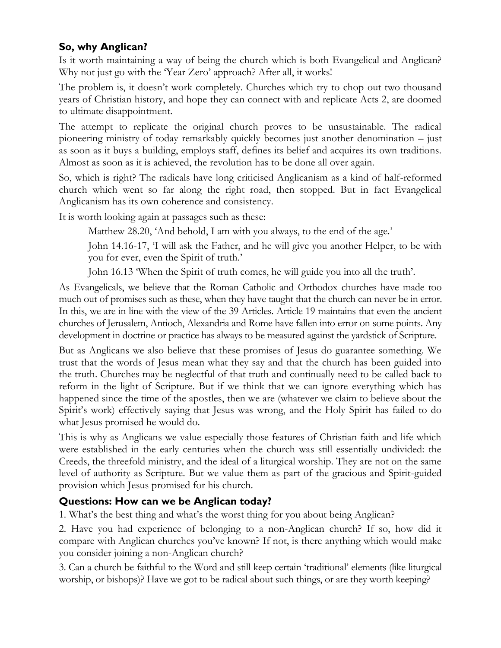### **So, why Anglican?**

Is it worth maintaining a way of being the church which is both Evangelical and Anglican? Why not just go with the 'Year Zero' approach? After all, it works!

The problem is, it doesn't work completely. Churches which try to chop out two thousand years of Christian history, and hope they can connect with and replicate Acts 2, are doomed to ultimate disappointment.

The attempt to replicate the original church proves to be unsustainable. The radical pioneering ministry of today remarkably quickly becomes just another denomination – just as soon as it buys a building, employs staff, defines its belief and acquires its own traditions. Almost as soon as it is achieved, the revolution has to be done all over again.

So, which is right? The radicals have long criticised Anglicanism as a kind of half-reformed church which went so far along the right road, then stopped. But in fact Evangelical Anglicanism has its own coherence and consistency.

It is worth looking again at passages such as these:

Matthew 28.20, 'And behold, I am with you always, to the end of the age.'

John 14.16-17, 'I will ask the Father, and he will give you another Helper, to be with you for ever, even the Spirit of truth.'

John 16.13 'When the Spirit of truth comes, he will guide you into all the truth'.

As Evangelicals, we believe that the Roman Catholic and Orthodox churches have made too much out of promises such as these, when they have taught that the church can never be in error. In this, we are in line with the view of the 39 Articles. Article 19 maintains that even the ancient churches of Jerusalem, Antioch, Alexandria and Rome have fallen into error on some points. Any development in doctrine or practice has always to be measured against the yardstick of Scripture.

But as Anglicans we also believe that these promises of Jesus do guarantee something. We trust that the words of Jesus mean what they say and that the church has been guided into the truth. Churches may be neglectful of that truth and continually need to be called back to reform in the light of Scripture. But if we think that we can ignore everything which has happened since the time of the apostles, then we are (whatever we claim to believe about the Spirit's work) effectively saying that Jesus was wrong, and the Holy Spirit has failed to do what Jesus promised he would do.

This is why as Anglicans we value especially those features of Christian faith and life which were established in the early centuries when the church was still essentially undivided: the Creeds, the threefold ministry, and the ideal of a liturgical worship. They are not on the same level of authority as Scripture. But we value them as part of the gracious and Spirit-guided provision which Jesus promised for his church.

### **Questions: How can we be Anglican today?**

1. What's the best thing and what's the worst thing for you about being Anglican?

2. Have you had experience of belonging to a non-Anglican church? If so, how did it compare with Anglican churches you've known? If not, is there anything which would make you consider joining a non-Anglican church?

3. Can a church be faithful to the Word and still keep certain 'traditional' elements (like liturgical worship, or bishops)? Have we got to be radical about such things, or are they worth keeping?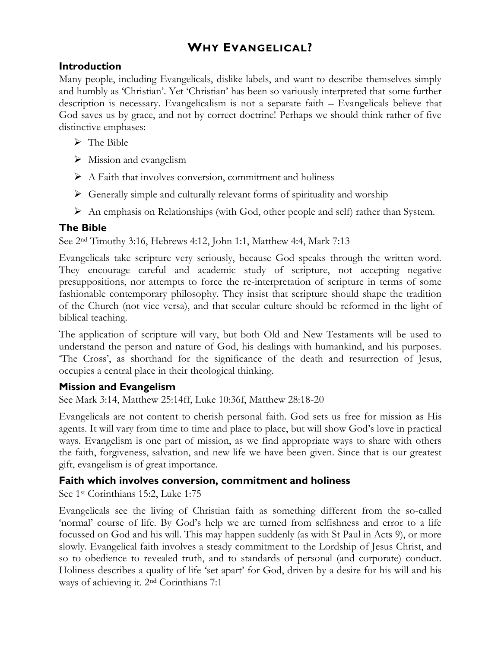# **WHY EVANGELICAL?**

### **Introduction**

Many people, including Evangelicals, dislike labels, and want to describe themselves simply and humbly as 'Christian'. Yet 'Christian' has been so variously interpreted that some further description is necessary. Evangelicalism is not a separate faith – Evangelicals believe that God saves us by grace, and not by correct doctrine! Perhaps we should think rather of five distinctive emphases:

- $\triangleright$  The Bible
- $\triangleright$  Mission and evangelism
- $\triangleright$  A Faith that involves conversion, commitment and holiness
- $\triangleright$  Generally simple and culturally relevant forms of spirituality and worship
- $\triangleright$  An emphasis on Relationships (with God, other people and self) rather than System.

# **The Bible**

See 2nd Timothy 3:16, Hebrews 4:12, John 1:1, Matthew 4:4, Mark 7:13

Evangelicals take scripture very seriously, because God speaks through the written word. They encourage careful and academic study of scripture, not accepting negative presuppositions, nor attempts to force the re-interpretation of scripture in terms of some fashionable contemporary philosophy. They insist that scripture should shape the tradition of the Church (not vice versa), and that secular culture should be reformed in the light of biblical teaching.

The application of scripture will vary, but both Old and New Testaments will be used to understand the person and nature of God, his dealings with humankind, and his purposes. 'The Cross', as shorthand for the significance of the death and resurrection of Jesus, occupies a central place in their theological thinking.

## **Mission and Evangelism**

See Mark 3:14, Matthew 25:14ff, Luke 10:36f, Matthew 28:18-20

Evangelicals are not content to cherish personal faith. God sets us free for mission as His agents. It will vary from time to time and place to place, but will show God's love in practical ways. Evangelism is one part of mission, as we find appropriate ways to share with others the faith, forgiveness, salvation, and new life we have been given. Since that is our greatest gift, evangelism is of great importance.

## **Faith which involves conversion, commitment and holiness**

See 1st Corinthians 15:2, Luke 1:75

Evangelicals see the living of Christian faith as something different from the so-called 'normal' course of life. By God's help we are turned from selfishness and error to a life focussed on God and his will. This may happen suddenly (as with St Paul in Acts 9), or more slowly. Evangelical faith involves a steady commitment to the Lordship of Jesus Christ, and so to obedience to revealed truth, and to standards of personal (and corporate) conduct. Holiness describes a quality of life 'set apart' for God, driven by a desire for his will and his ways of achieving it. 2nd Corinthians 7:1